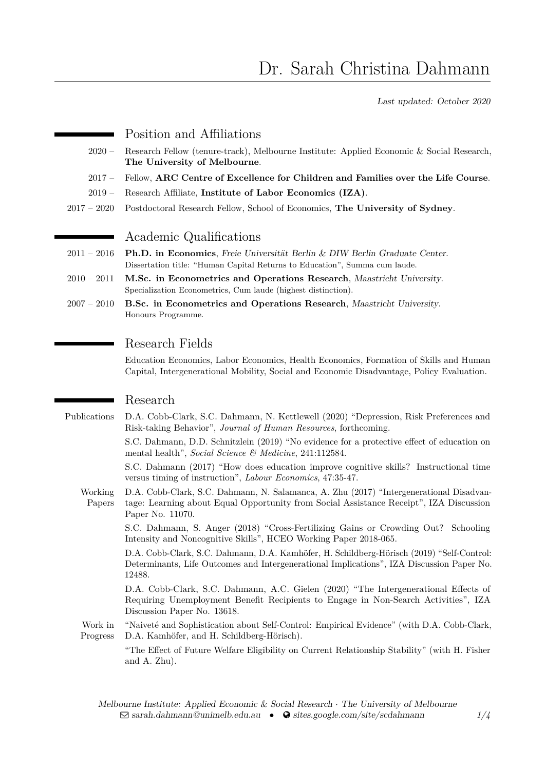Last updated: October 2020

### Position and Affiliations

- 2020 Research Fellow (tenure-track), Melbourne Institute: Applied Economic & Social Research, **The University of Melbourne**.
- 2017 Fellow, **ARC Centre of Excellence for Children and Families over the Life Course**.
- 2019 Research Affiliate, **Institute of Labor Economics (IZA)**.
- 2017 2020 Postdoctoral Research Fellow, School of Economics, **The University of Sydney**.

# Academic Qualifications

- 2011 2016 **Ph.D. in Economics**, Freie Universität Berlin & DIW Berlin Graduate Center. Dissertation title: "Human Capital Returns to Education", Summa cum laude.
- 2010 2011 **M.Sc. in Econometrics and Operations Research**, Maastricht University. Specialization Econometrics, Cum laude (highest distinction).
- 2007 2010 **B.Sc. in Econometrics and Operations Research**, Maastricht University. Honours Programme.

## Research Fields

Education Economics, Labor Economics, Health Economics, Formation of Skills and Human Capital, Intergenerational Mobility, Social and Economic Disadvantage, Policy Evaluation.

## Research

Publications [D.A. Cobb-Clark, S.C. Dahmann, N. Kettlewell \(2020\) "Depression, Risk Preferences and](https://doi.org/10.3368/jhr.58.1.0419-10183R1) Risk-taking Behavior", *[Journal of Human Resources](https://doi.org/10.3368/jhr.58.1.0419-10183R1)*, forthcoming.

> [S.C. Dahmann, D.D. Schnitzlein \(2019\) "No evidence for a protective effect of education on](https://doi.org/10.1016/j.socscimed.2019.112584) mental health", *[Social Science & Medicine](https://doi.org/10.1016/j.socscimed.2019.112584)*, 241:112584.

> [S.C. Dahmann \(2017\) "How does education improve cognitive skills? Instructional time](https://doi.org/10.1016/j.labeco.2017.04.008) [versus timing of instruction",](https://doi.org/10.1016/j.labeco.2017.04.008) *Labour Economics*, 47:35-47.

Working Papers [D.A. Cobb-Clark, S.C. Dahmann, N. Salamanca, A. Zhu \(2017\) "Intergenerational Disadvan](http://ftp.iza.org/dp11070.pdf)[tage: Learning about Equal Opportunity from Social Assistance Receipt", IZA Discussion](http://ftp.iza.org/dp11070.pdf) [Paper No. 11070.](http://ftp.iza.org/dp11070.pdf)

> [S.C. Dahmann, S. Anger \(2018\) "Cross-Fertilizing Gains or Crowding Out? Schooling](http://humcap.uchicago.edu/RePEc/hka/wpaper/Dahmann_Anger_2018_cross-fertilizing-gains-crowding.pdf) [Intensity and Noncognitive Skills", HCEO Working Paper 2018-065.](http://humcap.uchicago.edu/RePEc/hka/wpaper/Dahmann_Anger_2018_cross-fertilizing-gains-crowding.pdf)

> [D.A. Cobb-Clark, S.C. Dahmann, D.A. Kamhöfer, H. Schildberg-Hörisch \(2019\) "Self-Control:](http://ftp.iza.org/dp12488.pdf) [Determinants, Life Outcomes and Intergenerational Implications", IZA Discussion Paper No.](http://ftp.iza.org/dp12488.pdf) [12488.](http://ftp.iza.org/dp12488.pdf)

> [D.A. Cobb-Clark, S.C. Dahmann, A.C. Gielen \(2020\) "The Intergenerational Effects of](http://ftp.iza.org/dp13618.pdf) [Requiring Unemployment Benefit Recipients to Engage in Non-Search Activities", IZA](http://ftp.iza.org/dp13618.pdf) [Discussion Paper No. 13618.](http://ftp.iza.org/dp13618.pdf)

Work in Progress "Naiveté and Sophistication about Self-Control: Empirical Evidence" (with D.A. Cobb-Clark, D.A. Kamhöfer, and H. Schildberg-Hörisch).

> "The Effect of Future Welfare Eligibility on Current Relationship Stability" (with H. Fisher and A. Zhu).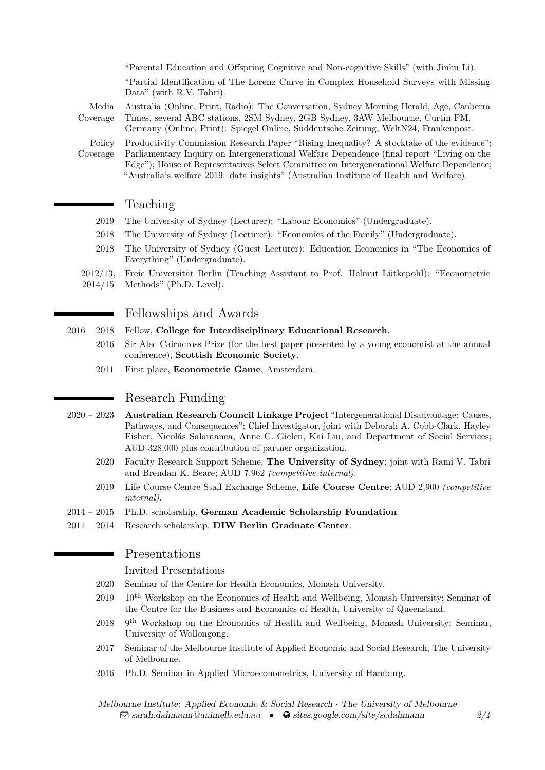"Parental Education and Offspring Cognitive and Non-cognitive Skills" (with Jinhu Li). "Partial Identification of The Lorenz Curve in Complex Household Surveys with Missing Data" (with R.V. Tabri).

Media Coverage Australia (Online, Print, Radio): [The Conversation,](https://theconversation.com/disability-and-single-parenthood-still-loom-large-in-inherited-poverty-123086) [Sydney Morning Herald,](http://www.smh.com.au/federal-politics/political-news/staggering-young-people-twice-as-likely-to-be-on-centrelink-benefits-if-their-parents-were-20171015-gz15yq.html) [Age,](http://www.theage.com.au/federal-politics/political-news/staggering-young-people-twice-as-likely-to-be-on-centrelink-benefits-if-their-parents-were-20171015-gz15yq.html) [Canberra](http://www.canberratimes.com.au/federal-politics/political-news/staggering-young-people-twice-as-likely-to-be-on-centrelink-benefits-if-their-parents-were-20171015-gz15yq.html) [Times,](http://www.canberratimes.com.au/federal-politics/political-news/staggering-young-people-twice-as-likely-to-be-on-centrelink-benefits-if-their-parents-were-20171015-gz15yq.html) several ABC stations, 2SM Sydney, 2GB Sydney, 3AW Melbourne, Curtin FM.

Germany (Online, Print): [Spiegel Online,](http://www.spiegel.de/lebenundlernen/schule/abitur-nach-zwoelf-jahren-was-hat-g8-gebracht-a-1097395.html) [Süddeutsche Zeitung,](http://www.sueddeutsche.de/bildung/schule-das-achtjaehrige-gymnasium-verdient-eine-chance-1.3417484) [WeltN24,](https://www.welt.de/wirtschaft/karriere/bildung/article167137068/Ich-fuehle-mich-noch-nicht-reif-fuer-ein-Studium.html) [Frankenpost.](https://www.frankenpost.de/region/oberfranken/laenderspiegel/Stress-und-Neurosen-bei-Schuelern-Folge-des-G-8;art2388,3137212)

Policy Coverage Productivity Commission Research Paper "Rising Inequality? A stocktake of the evidence"; Parliamentary Inquiry on Intergenerational Welfare Dependence (final report "Living on the Edge"); House of Representatives Select Committee on Intergenerational Welfare Dependence; "Australia's welfare 2019: data insights" (Australian Institute of Health and Welfare).

## Teaching

- 2019 The University of Sydney (Lecturer): "Labour Economics" (Undergraduate).
- 2018 The University of Sydney (Lecturer): "Economics of the Family" (Undergraduate).
- 2018 The University of Sydney (Guest Lecturer): Education Economics in "The Economics of Everything" (Undergraduate).
- 2012/13, Freie Universität Berlin (Teaching Assistant to Prof. Helmut Lütkepohl): "Econometric
- 2014/15 Methods" (Ph.D. Level).

## Fellowships and Awards

#### 2016 – 2018 Fellow, **College for Interdisciplinary Educational Research**.

- 2016 Sir Alec Cairncross Prize (for the best paper presented by a young economist at the annual conference), **Scottish Economic Society**.
- 2011 First place, **Econometric Game**, Amsterdam.

## Research Funding

- 2020 2023 **Australian Research Council Linkage Project** "Intergenerational Disadvantage: Causes, Pathways, and Consequences"; Chief Investigator, joint with Deborah A. Cobb-Clark, Hayley Fisher, Nicolás Salamanca, Anne C. Gielen, Kai Liu, and Department of Social Services; AUD 328,000 plus contribution of partner organization.
	- 2020 Faculty Research Support Scheme, **The University of Sydney**; joint with Rami V. Tabri and Brendan K. Beare; AUD 7,962 *(competitive internal)*.
	- 2019 Life Course Centre Staff Exchange Scheme, **Life Course Centre**; AUD 2,900 *(competitive internal)*.
- 2014 2015 Ph.D. scholarship, **German Academic Scholarship Foundation**.
- 2011 2014 Research scholarship, **DIW Berlin Graduate Center**.

### Presentations

Invited Presentations

- 2020 Seminar of the Centre for Health Economics, Monash University.
- $2019$  10<sup>th</sup> Workshop on the Economics of Health and Wellbeing, Monash University; Seminar of the Centre for the Business and Economics of Health, University of Queensland.
- 2018  $9<sup>th</sup>$  Workshop on the Economics of Health and Wellbeing, Monash University; Seminar, University of Wollongong.
- 2017 Seminar of the Melbourne Institute of Applied Economic and Social Research, The University of Melbourne.
- 2016 Ph.D. Seminar in Applied Microeconometrics, University of Hamburg.

Melbourne Institute: Applied Economic & Social Research · The University of Melbourne  $\Box$  [sarah.dahmann@unimelb.edu.au](mailto:sarah.dahmann@unimelb.edu.au) •  $\Box$  [sites.google.com/site/scdahmann](http://sites.google.com/site/scdahmann)  $\Box/4$  $\Box/4$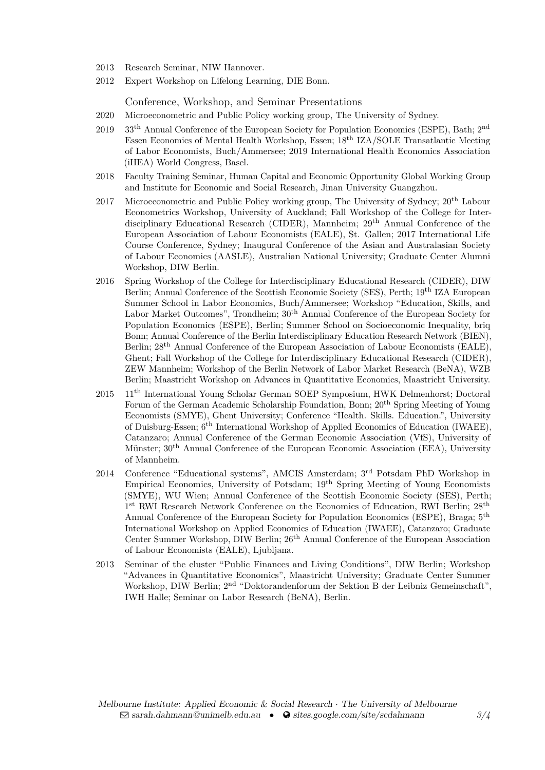- 2013 Research Seminar, NIW Hannover.
- 2012 Expert Workshop on Lifelong Learning, DIE Bonn.

Conference, Workshop, and Seminar Presentations

- 2020 Microeconometric and Public Policy working group, The University of Sydney.
- 2019 33<sup>th</sup> Annual Conference of the European Society for Population Economics (ESPE), Bath; 2<sup>nd</sup> Essen Economics of Mental Health Workshop, Essen; 18th IZA/SOLE Transatlantic Meeting of Labor Economists, Buch/Ammersee; 2019 International Health Economics Association (iHEA) World Congress, Basel.
- 2018 Faculty Training Seminar, Human Capital and Economic Opportunity Global Working Group and Institute for Economic and Social Research, Jinan University Guangzhou.
- 2017 Microeconometric and Public Policy working group, The University of Sydney;  $20^{th}$  Labour Econometrics Workshop, University of Auckland; Fall Workshop of the College for Interdisciplinary Educational Research (CIDER), Mannheim; 29th Annual Conference of the European Association of Labour Economists (EALE), St. Gallen; 2017 International Life Course Conference, Sydney; Inaugural Conference of the Asian and Australasian Society of Labour Economics (AASLE), Australian National University; Graduate Center Alumni Workshop, DIW Berlin.
- 2016 Spring Workshop of the College for Interdisciplinary Educational Research (CIDER), DIW Berlin; Annual Conference of the Scottish Economic Society (SES), Perth; 19<sup>th</sup> IZA European Summer School in Labor Economics, Buch/Ammersee; Workshop "Education, Skills, and Labor Market Outcomes", Trondheim;  $30<sup>th</sup>$  Annual Conference of the European Society for Population Economics (ESPE), Berlin; Summer School on Socioeconomic Inequality, briq Bonn; Annual Conference of the Berlin Interdisciplinary Education Research Network (BIEN), Berlin; 28<sup>th</sup> Annual Conference of the European Association of Labour Economists (EALE), Ghent; Fall Workshop of the College for Interdisciplinary Educational Research (CIDER), ZEW Mannheim; Workshop of the Berlin Network of Labor Market Research (BeNA), WZB Berlin; Maastricht Workshop on Advances in Quantitative Economics, Maastricht University.
- 2015 11th International Young Scholar German SOEP Symposium, HWK Delmenhorst; Doctoral Forum of the German Academic Scholarship Foundation, Bonn; 20<sup>th</sup> Spring Meeting of Young Economists (SMYE), Ghent University; Conference "Health. Skills. Education.", University of Duisburg-Essen; 6th International Workshop of Applied Economics of Education (IWAEE), Catanzaro; Annual Conference of the German Economic Association (VfS), University of Münster; 30th Annual Conference of the European Economic Association (EEA), University of Mannheim.
- 2014 Conference "Educational systems", AMCIS Amsterdam; 3rd Potsdam PhD Workshop in Empirical Economics, University of Potsdam; 19th Spring Meeting of Young Economists (SMYE), WU Wien; Annual Conference of the Scottish Economic Society (SES), Perth; 1<sup>st</sup> RWI Research Network Conference on the Economics of Education, RWI Berlin; 28<sup>th</sup> Annual Conference of the European Society for Population Economics (ESPE), Braga; 5<sup>th</sup> International Workshop on Applied Economics of Education (IWAEE), Catanzaro; Graduate Center Summer Workshop, DIW Berlin; 26<sup>th</sup> Annual Conference of the European Association of Labour Economists (EALE), Ljubljana.
- 2013 Seminar of the cluster "Public Finances and Living Conditions", DIW Berlin; Workshop "Advances in Quantitative Economics", Maastricht University; Graduate Center Summer Workshop, DIW Berlin; 2<sup>nd</sup> "Doktorandenforum der Sektion B der Leibniz Gemeinschaft", IWH Halle; Seminar on Labor Research (BeNA), Berlin.